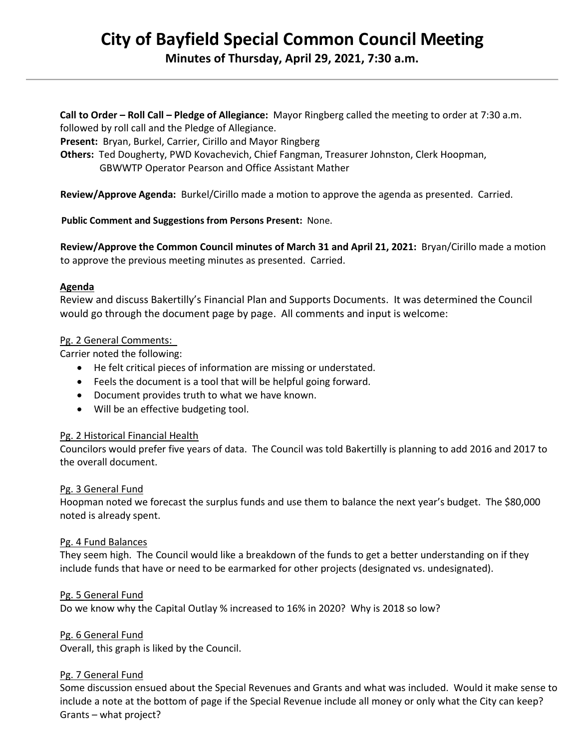# **City of Bayfield Special Common Council Meeting Minutes of Thursday, April 29, 2021, 7:30 a.m.**

**Call to Order – Roll Call – Pledge of Allegiance:** Mayor Ringberg called the meeting to order at 7:30 a.m. followed by roll call and the Pledge of Allegiance.

 **Present:** Bryan, Burkel, Carrier, Cirillo and Mayor Ringberg

 **Others:** Ted Dougherty, PWD Kovachevich, Chief Fangman, Treasurer Johnston, Clerk Hoopman, GBWWTP Operator Pearson and Office Assistant Mather

**Review/Approve Agenda:** Burkel/Cirillo made a motion to approve the agenda as presented. Carried.

**Public Comment and Suggestions from Persons Present:** None.

 **Review/Approve the Common Council minutes of March 31 and April 21, 2021:** Bryan/Cirillo made a motion to approve the previous meeting minutes as presented. Carried.

### **Agenda**

Review and discuss Bakertilly's Financial Plan and Supports Documents. It was determined the Council would go through the document page by page. All comments and input is welcome:

#### Pg. 2 General Comments:

Carrier noted the following:

- He felt critical pieces of information are missing or understated.
- Feels the document is a tool that will be helpful going forward.
- Document provides truth to what we have known.
- Will be an effective budgeting tool.

### Pg. 2 Historical Financial Health

Councilors would prefer five years of data. The Council was told Bakertilly is planning to add 2016 and 2017 to the overall document.

### Pg. 3 General Fund

Hoopman noted we forecast the surplus funds and use them to balance the next year's budget. The \$80,000 noted is already spent.

### Pg. 4 Fund Balances

They seem high. The Council would like a breakdown of the funds to get a better understanding on if they include funds that have or need to be earmarked for other projects (designated vs. undesignated).

### Pg. 5 General Fund

Do we know why the Capital Outlay % increased to 16% in 2020? Why is 2018 so low?

Pg. 6 General Fund

Overall, this graph is liked by the Council.

### Pg. 7 General Fund

Some discussion ensued about the Special Revenues and Grants and what was included. Would it make sense to include a note at the bottom of page if the Special Revenue include all money or only what the City can keep? Grants – what project?